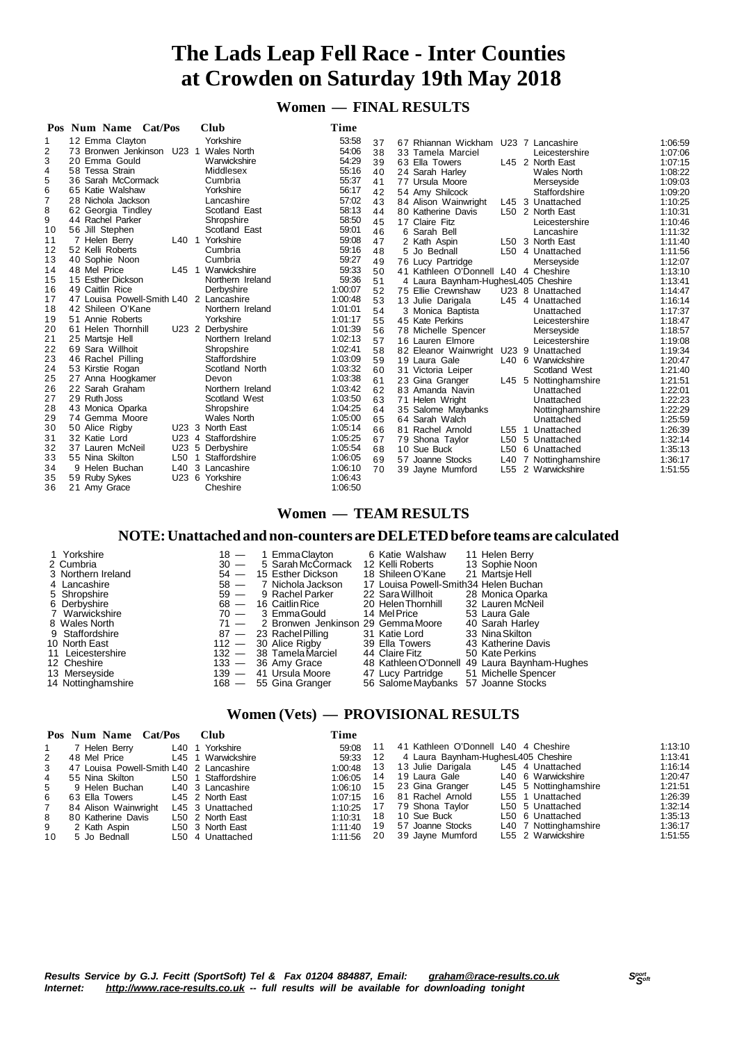# **The Lads Leap Fell Race - Inter Counties at Crowden on Saturday 19th May 2018**

## **Women — FINAL RESULTS**

| Pos | Cat/Pos<br>Num Name                     |         | <b>Club</b>         | Time    |    |                                         |                 |                       |         |
|-----|-----------------------------------------|---------|---------------------|---------|----|-----------------------------------------|-----------------|-----------------------|---------|
| 1   | 12 Emma Clayton                         |         | Yorkshire           | 53:58   | 37 | 67 Rhiannan Wickham                     |                 | U23 7 Lancashire      | 1:06:59 |
| 2   | 73 Bronwen Jenkinson U23 1              |         | Wales North         | 54:06   | 38 | 33 Tamela Marciel                       |                 | Leicestershire        | 1:07:06 |
| 3   | 20 Emma Gould                           |         | Warwickshire        | 54:29   | 39 | 63 Ella Towers                          |                 | L45 2 North East      | 1:07:15 |
| 4   | 58 Tessa Strain                         |         | Middlesex           | 55:16   | 40 | 24 Sarah Harley                         |                 | <b>Wales North</b>    | 1:08:22 |
| 5   | 36 Sarah McCormack                      |         | Cumbria             | 55:37   | 41 | 77 Ursula Moore                         |                 | Merseyside            | 1:09:03 |
| 6   | 65 Katie Walshaw                        |         | Yorkshire           | 56:17   | 42 | 54 Amy Shilcock                         |                 | Staffordshire         | 1:09:20 |
| 7   | 28 Nichola Jackson                      |         | Lancashire          | 57:02   | 43 | 84 Alison Wainwright                    |                 | L45 3 Unattached      | 1:10:25 |
| 8   | 62 Georgia Tindley                      |         | Scotland East       | 58:13   | 44 | 80 Katherine Davis                      |                 | L50 2 North East      | 1:10:31 |
| 9   | 44 Rachel Parker                        |         | Shropshire          | 58:50   | 45 | 17 Claire Fitz                          |                 | Leicestershire        | 1:10:46 |
| 10  | 56 Jill Stephen                         |         | Scotland East       | 59:01   | 46 | 6 Sarah Bell                            |                 | Lancashire            | 1:11:32 |
| 11  | 7 Helen Berry                           |         | L40 1 Yorkshire     | 59:08   | 47 | 2 Kath Aspin                            |                 | L50 3 North East      | 1:11:40 |
| 12  | 52 Kelli Roberts                        |         | Cumbria             | 59:16   | 48 | 5 Jo Bednall                            |                 | L50 4 Unattached      | 1:11:56 |
| 13  | 40 Sophie Noon                          |         | Cumbria             | 59:27   | 49 | 76 Lucy Partridge                       |                 | Merseyside            | 1:12:07 |
| 14  | 48 Mel Price                            | $L45$ 1 | Warwickshire        | 59:33   | 50 | Kathleen O'Donnell L40 4 Cheshire<br>41 |                 |                       | 1:13:10 |
| 15  | 15 Esther Dickson                       |         | Northern Ireland    | 59:36   | 51 | 4 Laura Baynham-HughesL405 Cheshire     |                 |                       | 1:13:41 |
| 16  | 49 Caitlin Rice                         |         | Derbyshire          | 1:00:07 | 52 | 75 Ellie Crewnshaw                      |                 | U23 8 Unattached      | 1:14:47 |
| 17  | 47 Louisa Powell-Smith L40 2 Lancashire |         |                     | 1:00:48 | 53 | 13 Julie Darigala                       |                 | L45 4 Unattached      | 1:16:14 |
| 18  | 42 Shileen O'Kane                       |         | Northern Ireland    | 1:01:01 | 54 | 3 Monica Baptista                       |                 | Unattached            | 1:17:37 |
| 19  | 51 Annie Roberts                        |         | Yorkshire           | 1:01:17 | 55 | 45 Kate Perkins                         |                 | Leicestershire        | 1:18:47 |
| 20  | 61 Helen Thornhill                      |         | U23 2 Derbyshire    | 1:01:39 | 56 | 78 Michelle Spencer                     |                 | Merseyside            | 1:18:57 |
| 21  | 25 Martsje Hell                         |         | Northern Ireland    | 1:02:13 | 57 | 16 Lauren Elmore                        |                 | Leicestershire        | 1:19:08 |
| 22  | 69 Sara Willhoit                        |         | Shropshire          | 1:02:41 | 58 | 82 Eleanor Wainwright U23 9 Unattached  |                 |                       | 1:19:34 |
| 23  | 46 Rachel Pilling                       |         | Staffordshire       | 1:03:09 | 59 | 19 Laura Gale                           |                 | L40 6 Warwickshire    | 1:20:47 |
| 24  | 53 Kirstie Rogan                        |         | Scotland North      | 1:03:32 | 60 | 31 Victoria Leiper                      |                 | Scotland West         | 1:21:40 |
| 25  | 27 Anna Hoogkamer                       |         | Devon               | 1:03:38 | 61 | 23 Gina Granger                         |                 | L45 5 Nottinghamshire | 1:21:51 |
| 26  | 22 Sarah Graham                         |         | Northern Ireland    | 1:03:42 | 62 | 83 Amanda Navin                         |                 | Unattached            | 1:22:01 |
| 27  | 29 Ruth Joss                            |         | Scotland West       | 1:03:50 | 63 | 71<br>Helen Wright                      |                 | Unattached            | 1:22:23 |
| 28  | 43 Monica Oparka                        |         | Shropshire          | 1:04:25 | 64 | 35 Salome Maybanks                      |                 | Nottinghamshire       | 1:22:29 |
| 29  | 74 Gemma Moore                          |         | Wales North         | 1:05:00 | 65 | 64 Sarah Walch                          |                 | Unattached            | 1:25:59 |
| 30  | 50 Alice Rigby                          |         | U23 3 North East    | 1:05:14 | 66 | 81<br>Rachel Arnold                     | L55 1           | Unattached            | 1:26:39 |
| 31  | 32 Katie Lord                           |         | U23 4 Staffordshire | 1:05:25 | 67 | 79 Shona Taylor                         | L50             | 5 Unattached          | 1:32:14 |
| 32  | 37 Lauren McNeil                        | U23 5   | Derbyshire          | 1:05:54 | 68 | 10 Sue Buck                             |                 | L50 6 Unattached      | 1:35:13 |
| 33  | 55 Nina Skilton                         | L50     | Staffordshire<br>-1 | 1:06:05 | 69 | 57 Joanne Stocks                        |                 | L40 7 Nottinghamshire | 1:36:17 |
| 34  | 9 Helen Buchan                          | L40     | 3 Lancashire        | 1:06:10 | 70 | 39 Jayne Mumford                        | L <sub>55</sub> | 2 Warwickshire        | 1:51:55 |
| 35  | 59 Ruby Sykes                           |         | U23 6 Yorkshire     | 1:06:43 |    |                                         |                 |                       |         |
| 36  | 21 Amy Grace                            |         | Cheshire            | 1:06:50 |    |                                         |                 |                       |         |

### **Women — TEAM RESULTS**

#### **NOTE:Unattached and non-counters are DELETEDbefore teams are calculated**

| 1 Yorkshire<br>2 Cumbria | $18 -$<br>$30 -$ | 1 EmmaClavton<br>5 Sarah McCormack | 6 Katie Walshaw<br>12 Kelli Roberts   | 11 Helen Berry<br>13 Sophie Noon              |
|--------------------------|------------------|------------------------------------|---------------------------------------|-----------------------------------------------|
| 3 Northern Ireland       |                  | 54 - 15 Esther Dickson             | 18 Shileen O'Kane                     | 21 Martsie Hell                               |
| 4 Lancashire             | $58 -$           | 7 Nichola Jackson                  | 17 Louisa Powell-Smith34 Helen Buchan |                                               |
| 5 Shropshire             | $59 -$           | 9 Rachel Parker                    | 22 Sara Willhoit                      | 28 Monica Oparka                              |
| 6 Derbyshire             |                  | $68 - 16$ Caitlin Rice             | 20 Helen Thornhill                    | 32 Lauren McNeil                              |
| 7 Warwickshire           |                  | 70 - 3 EmmaGould                   | 14 Mel Price                          | 53 Laura Gale                                 |
| 8 Wales North            | $71 -$           | 2 Bronwen Jenkinson 29 Gemma Moore |                                       | 40 Sarah Harley                               |
| 9 Staffordshire          |                  | $87 - 23$ Rachel Pilling           | 31 Katie Lord                         | 33 Nina Skilton                               |
| 10 North East            |                  | $112 - 30$ Alice Rigby             | 39 Ella Towers                        | 43 Katherine Davis                            |
| 11 Leicestershire        |                  | 132 - 38 Tamela Marciel            | 44 Claire Fitz                        | 50 Kate Perkins                               |
| 12 Cheshire              |                  | $133 - 36$ Amy Grace               |                                       | 48 Kathleen O'Donnell 49 Laura Baynham-Hughes |
| 13 Merseyside            | $139 -$          | 41 Ursula Moore                    | 47 Lucy Partridge                     | 51 Michelle Spencer                           |
| 14 Nottinghamshire       |                  | 168 - 55 Gina Granger              | 56 Salome Maybanks 57 Joanne Stocks   |                                               |

#### **Women (Vets) — PROVISIONAL RESULTS**

|    | Pos Num Name Cat/Pos                    | <b>Club</b>         | Time    |    |                                      |                       |         |
|----|-----------------------------------------|---------------------|---------|----|--------------------------------------|-----------------------|---------|
|    | 7 Helen Berry                           | L40 1 Yorkshire     | 59:08   |    | 41 Kathleen O'Donnell L40 4 Cheshire |                       | 1:13:10 |
| 2  | 48 Mel Price                            | L45 1 Warwickshire  | 59:33   | 12 | 4 Laura Baynham-HughesL405 Cheshire  |                       | 1:13:41 |
| 3  | 47 Louisa Powell-Smith L40 2 Lancashire |                     | 1:00:48 |    | 13 13 Julie Darigala                 | L45 4 Unattached      | 1:16:14 |
| 4  | 55 Nina Skilton                         | L50 1 Staffordshire |         |    | 1:06:05  14  19  Laura Gale          | L40 6 Warwickshire    | 1:20:47 |
| 5  | 9 Helen Buchan                          | L40 3 Lancashire    | 1:06:10 |    | 15 23 Gina Granger                   | L45 5 Nottinghamshire | 1:21:51 |
| 6  | 63 Ella Towers                          | L45 2 North East    |         |    | 1:07:15  16  81  Rachel Arnold       | L55 1 Unattached      | 1:26:39 |
|    | 84 Alison Wainwright                    | L45 3 Unattached    |         |    | $1:10:25$ 17 79 Shona Taylor         | L50 5 Unattached      | 1:32:14 |
| 8  | 80 Katherine Davis                      | L50 2 North East    | 1:10:31 |    | 18 10 Sue Buck                       | L50 6 Unattached      | 1:35:13 |
| 9  | 2 Kath Aspin                            | L50 3 North East    |         |    | 1:11:40  19  57 Joanne Stocks        | L40 7 Nottinghamshire | 1:36:17 |
| 10 | 5 Jo Bednall                            | L50 4 Unattached    | 1:11:56 |    | 20 39 Jayne Mumford                  | L55 2 Warwickshire    | 1:51:55 |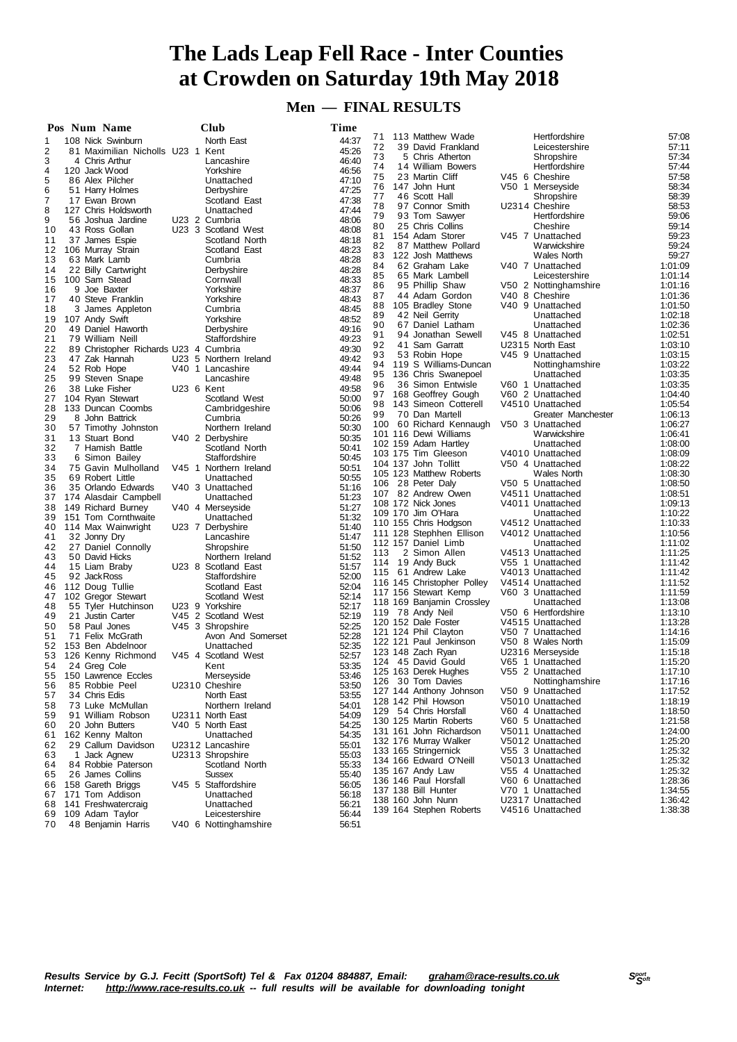# **The Lads Leap Fell Race - Inter Counties at Crowden on Saturday 19th May 2018**

## **Men — FINAL RESULTS**

|    | Pos Num Name                          |            | <b>Club</b>            | Time  |     |                                              |                                      |                    |
|----|---------------------------------------|------------|------------------------|-------|-----|----------------------------------------------|--------------------------------------|--------------------|
| 1  | 108 Nick Swinburn                     |            | North East             | 44:37 | 71  | 113 Matthew Wade                             | Hertfordshire                        | 57:08              |
| 2  | 81 Maximilian Nicholls U23 1 Kent     |            |                        | 45:26 | 72  | 39 David Frankland                           | Leicestershire                       | 57:11              |
| 3  | 4 Chris Arthur                        |            | Lancashire             | 46:40 | 73  | 5 Chris Atherton                             | Shropshire                           | 57:34              |
| 4  | 120 Jack Wood                         |            | Yorkshire              | 46:56 | 74  | 14 William Bowers                            | Hertfordshire                        | 57:44              |
| 5  | 86 Alex Pilcher                       |            | Unattached             | 47:10 | 75  | 23 Martin Cliff                              | V45 6 Cheshire                       | 57:58              |
| 6  | 51 Harry Holmes                       |            | Derbyshire             | 47:25 | 76  | 147 John Hunt                                | V50 1 Merseyside                     | 58:34              |
| 7  | 17 Ewan Brown                         |            | Scotland East          | 47:38 | 77  | 46 Scott Hall                                | Shropshire                           | 58:39              |
| 8  | 127 Chris Holdsworth                  |            | Unattached             | 47:44 | 78  | 97 Connor Smith                              | U2314 Cheshire                       | 58:53              |
| 9  | 56 Joshua Jardine                     |            | U23 2 Cumbria          | 48:06 | 79  | 93 Tom Sawyer                                | Hertfordshire                        | 59:06              |
| 10 | 43 Ross Gollan                        |            | U23 3 Scotland West    | 48:08 | 80  | 25 Chris Collins                             | Cheshire                             | 59:14              |
| 11 | 37 James Espie                        |            | Scotland North         | 48:18 | 81  | 154 Adam Storer                              | V45 7 Unattached                     | 59:23              |
| 12 | 106 Murray Strain                     |            | Scotland East          | 48:23 | 82  | 87 Matthew Pollard                           | Warwickshire                         | 59:24              |
| 13 | 63 Mark Lamb                          |            | Cumbria                | 48:28 | 83  | 122 Josh Matthews                            | <b>Wales North</b>                   | 59:27              |
| 14 | 22 Billy Cartwright                   |            | Derbyshire             | 48:28 | 84  | 62 Graham Lake                               | V40 7 Unattached                     | 1:01:09            |
| 15 | 100 Sam Stead                         |            | Cornwall               | 48:33 | 85  | 65 Mark Lambell                              | Leicestershire                       | 1:01:14            |
| 16 | 9 Joe Baxter                          |            | Yorkshire              | 48:37 | 86  | 95 Phillip Shaw                              | V50 2 Nottinghamshire                | 1:01:16            |
| 17 | 40 Steve Franklin                     |            | Yorkshire              | 48:43 | 87  | 44 Adam Gordon                               | V40 8 Cheshire                       | 1:01:36            |
| 18 | 3 James Appleton                      |            | Cumbria                | 48:45 | 88  | 105 Bradley Stone                            | V40 9 Unattached                     | 1:01:50            |
| 19 | 107 Andy Swift                        |            | Yorkshire              | 48:52 | 89  | 42 Neil Gerrity                              | Unattached                           | 1:02:18            |
| 20 | 49 Daniel Haworth                     |            | Derbyshire             | 49:16 | 90  | 67 Daniel Latham                             | Unattached                           | 1:02:36            |
| 21 | 79 William Neill                      |            | Staffordshire          | 49:23 | 91  | 94 Jonathan Sewell                           | V45 8 Unattached                     | 1:02:51            |
| 22 | 89 Christopher Richards U23 4 Cumbria |            |                        | 49:30 | 92  | 41 Sam Garratt                               | U2315 North East                     | 1:03:10            |
| 23 | 47 Zak Hannah                         |            | U23 5 Northern Ireland | 49:42 | 93  | 53 Robin Hope                                | V45 9 Unattached                     | 1:03:15            |
| 24 | 52 Rob Hope                           |            | V40 1 Lancashire       | 49:44 | 94  | 119 S Williams-Duncan                        | Nottinghamshire                      | 1:03:22            |
| 25 | 99 Steven Snape                       |            | Lancashire             | 49:48 | 95  | 136 Chris Swanepoel                          | Unattached                           | 1:03:35            |
| 26 | 38 Luke Fisher                        | U23 6 Kent |                        | 49:58 | 96  | 36 Simon Entwisle                            | V60 1 Unattached                     | 1:03:35            |
| 27 | 104 Ryan Stewart                      |            | Scotland West          | 50:00 | 97  | 168 Geoffrey Gough                           | V60 2 Unattached                     | 1:04:40            |
| 28 | 133 Duncan Coombs                     |            | Cambridgeshire         | 50:06 | 98  | 143 Simeon Cotterell                         | V4510 Unattached                     | 1:05:54            |
| 29 | 8 John Battrick                       |            | Cumbria                | 50:26 | 99  | 70 Dan Martell                               | Greater Manchester                   | 1:06:13            |
| 30 | 57 Timothy Johnston                   |            | Northern Ireland       | 50:30 |     | 100 60 Richard Kennaugh                      | V50 3 Unattached                     | 1:06:27            |
| 31 | 13 Stuart Bond                        |            | V40 2 Derbyshire       | 50:35 |     | 101 116 Dewi Williams                        | Warwickshire                         | 1:06:41            |
| 32 | 7 Hamish Battle                       |            | Scotland North         | 50:41 |     | 102 159 Adam Hartley                         | Unattached                           | 1:08:00            |
| 33 | 6<br>Simon Bailey                     |            | Staffordshire          | 50:45 |     | 103 175 Tim Gleeson                          | V4010 Unattached                     | 1:08:09            |
| 34 | 75 Gavin Mulholland                   |            | V45 1 Northern Ireland | 50:51 |     | 104 137 John Tollitt                         | V50 4 Unattached                     | 1:08:22            |
| 35 | 69 Robert Little                      |            | Unattached             | 50:55 |     | 105 123 Matthew Roberts                      | <b>Wales North</b>                   | 1:08:30            |
| 36 | 35 Orlando Edwards                    |            | V40 3 Unattached       | 51:16 |     | 106 28 Peter Daly                            | V50 5 Unattached                     | 1:08:50            |
| 37 | 174 Alasdair Campbell                 |            | Unattached             | 51:23 |     | 107 82 Andrew Owen                           | V4511 Unattached                     | 1:08:51            |
| 38 | 149 Richard Burney                    |            | V40 4 Merseyside       | 51:27 |     | 108 172 Nick Jones                           | V4011 Unattached                     | 1:09:13            |
| 39 | 151 Tom Cornthwaite                   |            | Unattached             | 51:32 |     | 109 170 Jim O'Hara                           | Unattached                           | 1:10:22            |
| 40 | 114 Max Wainwright                    |            | U23 7 Derbyshire       | 51:40 |     | 110 155 Chris Hodgson                        | V4512 Unattached                     | 1:10:33            |
| 41 | 32 Jonny Dry                          |            | Lancashire             | 51:47 |     | 111 128 Stephhen Ellison                     | V4012 Unattached                     | 1:10:56            |
| 42 | 27 Daniel Connolly                    |            | Shropshire             | 51:50 |     | 112 157 Daniel Limb                          | Unattached                           | 1:11:02            |
| 43 | 50 David Hicks                        |            | Northern Ireland       | 51:52 | 113 | 2 Simon Allen                                | V4513 Unattached                     | 1:11:25            |
| 44 | 15 Liam Braby                         |            | U23 8 Scotland East    | 51:57 | 114 | 19 Andy Buck                                 | V55 1 Unattached                     | 1:11:42            |
| 45 | 92 Jack Ross                          |            | Staffordshire          | 52:00 |     | 115 61 Andrew Lake                           | V4013 Unattached                     | 1:11:42            |
| 46 | 112 Doug Tullie                       |            | Scotland East          | 52:04 |     | 116 145 Christopher Polley                   | V4514 Unattached                     | 1:11:52            |
| 47 | 102 Gregor Stewart                    |            | Scotland West          | 52:14 |     | 117 156 Stewart Kemp                         | V60 3 Unattached                     | 1:11:59            |
| 48 | 55 Tyler Hutchinson                   |            | U23 9 Yorkshire        | 52:17 |     | 118 169 Banjamin Crossley                    | Unattached                           | 1:13:08            |
| 49 | 21 Justin Carter                      |            | V45 2 Scotland West    | 52:19 |     | 119 78 Andy Neil                             | V50 6 Hertfordshire                  | 1:13:10            |
| 50 | 58 Paul Jones                         |            | V45 3 Shropshire       | 52:25 |     | 120 152 Dale Foster                          | V4515 Unattached                     | 1:13:28            |
| 51 | 71 Felix McGrath                      |            | Avon And Somerset      | 52:28 |     | 121 124 Phil Clayton                         | V50 7 Unattached                     | 1:14:16            |
| 52 | 153 Ben Abdelnoor                     |            | Unattached             | 52:35 |     | 122 121 Paul Jenkinson<br>123 148 Zach Rvan  | V50 8 Wales North                    | 1:15:09            |
| 53 | 126 Kenny Richmond                    |            | V45 4 Scotland West    | 52:57 |     |                                              | U2316 Merseyside<br>V65 1 Unattached | 1:15:18            |
| 54 | 24 Greg Cole                          |            | Kent                   | 53:35 |     | 124 45 David Gould                           |                                      | 1:15:20            |
|    | 55 150 Lawrence Eccles                |            | Merseyside             | 53:46 |     | 125 163 Derek Hughes                         | V55 2 Unattached                     | 1:17:10            |
| 56 | 85 Robbie Peel                        |            | U2310 Cheshire         | 53:50 |     | 126 30 Tom Davies                            | Nottinghamshire                      | 1:17:16            |
| 57 | 34 Chris Edis                         |            | North East             | 53:55 |     | 127 144 Anthony Johnson                      | V50 9 Unattached                     | 1:17:52            |
| 58 | 73 Luke McMullan                      |            | Northern Ireland       | 54:01 |     | 128 142 Phil Howson<br>129 54 Chris Horsfall | V5010 Unattached                     | 1:18:19            |
| 59 | 91 William Robson                     |            | U2311 North East       | 54:09 |     |                                              | V60 4 Unattached                     | 1:18:50            |
| 60 | 20 John Butters                       |            | V40 5 North East       | 54:25 |     | 130 125 Martin Roberts                       | V60 5 Unattached                     | 1:21:58            |
| 61 | 162 Kenny Malton                      |            | Unattached             | 54:35 |     | 131 161 John Richardson                      | V5011 Unattached<br>V5012 Unattached | 1:24:00            |
| 62 | 29 Callum Davidson                    |            | U2312 Lancashire       | 55:01 |     | 132 176 Murray Walker                        |                                      | 1:25:20            |
| 63 | Jack Agnew<br>1                       |            | U2313 Shropshire       | 55:03 |     | 133 165 Stringernick                         | V55 3 Unattached                     | 1:25:32            |
| 64 | 84 Robbie Paterson                    |            | Scotland North         | 55:33 |     | 134 166 Edward O'Neill<br>135 167 Andy Law   | V5013 Unattached<br>V55 4 Unattached | 1:25:32            |
| 65 | 26 James Collins                      |            | <b>Sussex</b>          | 55:40 |     |                                              |                                      | 1:25:32            |
| 66 | 158 Gareth Briggs                     |            | V45 5 Staffordshire    | 56:05 |     | 136 146 Paul Horsfall<br>137 138 Bill Hunter | V60 6 Unattached<br>V70 1 Unattached | 1:28:36            |
| 67 | 171 Tom Addison                       |            | Unattached             | 56:18 |     | 138 160 John Nunn                            |                                      | 1:34:55            |
| 68 | 141 Freshwatercraig                   |            | Unattached             | 56:21 |     | 139 164 Stephen Roberts                      | U2317 Unattached<br>V4516 Unattached | 1:36:42<br>1:38:38 |
| 69 | 109 Adam Taylor                       |            | Leicestershire         | 56:44 |     |                                              |                                      |                    |
| 70 | 48 Benjamin Harris                    |            | V40 6 Nottinghamshire  | 56:51 |     |                                              |                                      |                    |